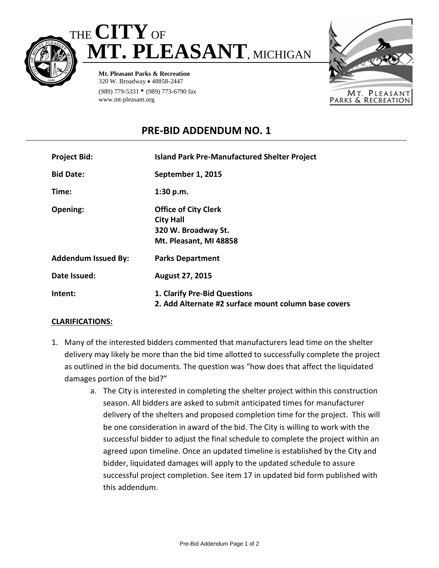



**Mt. Pleasant Parks & Recreation** 320 W. Broadway • 48858-2447 (989) 779-5331 • (989) 773-6790 fax www.mt-pleasant.org



## **PRE-BID ADDENDUM NO. 1**

| <b>Project Bid:</b>        | <b>Island Park Pre-Manufactured Shelter Project</b>                                              |
|----------------------------|--------------------------------------------------------------------------------------------------|
| <b>Bid Date:</b>           | September 1, 2015                                                                                |
| Time:                      | 1:30 p.m.                                                                                        |
| Opening:                   | <b>Office of City Clerk</b><br><b>City Hall</b><br>320 W. Broadway St.<br>Mt. Pleasant, MI 48858 |
| <b>Addendum Issued By:</b> | <b>Parks Department</b>                                                                          |
| Date Issued:               | <b>August 27, 2015</b>                                                                           |
| Intent:                    | 1. Clarify Pre-Bid Questions<br>2. Add Alternate #2 surface mount column base covers             |

## **CLARIFICATIONS:**

- 1. Many of the interested bidders commented that manufacturers lead time on the shelter delivery may likely be more than the bid time allotted to successfully complete the project as outlined in the bid documents. The question was "how does that affect the liquidated damages portion of the bid?"
	- a. The City is interested in completing the shelter project within this construction season. All bidders are asked to submit anticipated times for manufacturer delivery of the shelters and proposed completion time for the project. This will be one consideration in award of the bid. The City is willing to work with the successful bidder to adjust the final schedule to complete the project within an agreed upon timeline. Once an updated timeline is established by the City and bidder, liquidated damages will apply to the updated schedule to assure successful project completion. See item 17 in updated bid form published with this addendum.